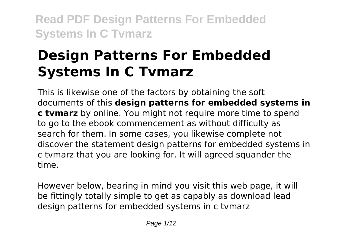# **Design Patterns For Embedded Systems In C Tvmarz**

This is likewise one of the factors by obtaining the soft documents of this **design patterns for embedded systems in c tvmarz** by online. You might not require more time to spend to go to the ebook commencement as without difficulty as search for them. In some cases, you likewise complete not discover the statement design patterns for embedded systems in c tvmarz that you are looking for. It will agreed squander the time.

However below, bearing in mind you visit this web page, it will be fittingly totally simple to get as capably as download lead design patterns for embedded systems in c tvmarz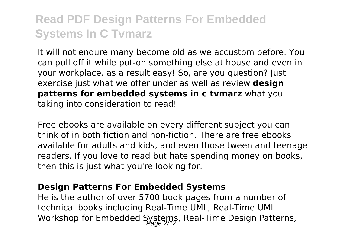It will not endure many become old as we accustom before. You can pull off it while put-on something else at house and even in your workplace. as a result easy! So, are you question? Just exercise just what we offer under as well as review **design patterns for embedded systems in c tvmarz** what you taking into consideration to read!

Free ebooks are available on every different subject you can think of in both fiction and non-fiction. There are free ebooks available for adults and kids, and even those tween and teenage readers. If you love to read but hate spending money on books, then this is just what you're looking for.

#### **Design Patterns For Embedded Systems**

He is the author of over 5700 book pages from a number of technical books including Real-Time UML, Real-Time UML Workshop for Embedded Systems, Real-Time Design Patterns,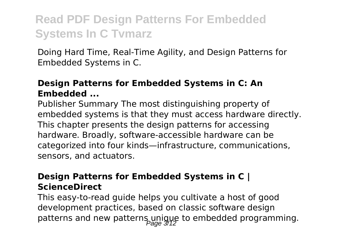Doing Hard Time, Real-Time Agility, and Design Patterns for Embedded Systems in C.

### **Design Patterns for Embedded Systems in C: An Embedded ...**

Publisher Summary The most distinguishing property of embedded systems is that they must access hardware directly. This chapter presents the design patterns for accessing hardware. Broadly, software-accessible hardware can be categorized into four kinds—infrastructure, communications, sensors, and actuators.

### **Design Patterns for Embedded Systems in C | ScienceDirect**

This easy-to-read guide helps you cultivate a host of good development practices, based on classic software design patterns and new patterns unique to embedded programming.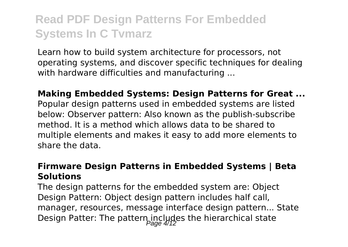Learn how to build system architecture for processors, not operating systems, and discover specific techniques for dealing with hardware difficulties and manufacturing ...

**Making Embedded Systems: Design Patterns for Great ...** Popular design patterns used in embedded systems are listed below: Observer pattern: Also known as the publish-subscribe method. It is a method which allows data to be shared to multiple elements and makes it easy to add more elements to share the data.

### **Firmware Design Patterns in Embedded Systems | Beta Solutions**

The design patterns for the embedded system are: Object Design Pattern: Object design pattern includes half call, manager, resources, message interface design pattern... State Design Patter: The pattern includes the hierarchical state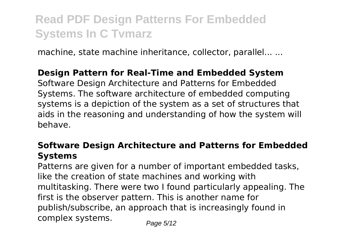machine, state machine inheritance, collector, parallel... ...

### **Design Pattern for Real-Time and Embedded System**

Software Design Architecture and Patterns for Embedded Systems. The software architecture of embedded computing systems is a depiction of the system as a set of structures that aids in the reasoning and understanding of how the system will behave.

### **Software Design Architecture and Patterns for Embedded Systems**

Patterns are given for a number of important embedded tasks, like the creation of state machines and working with multitasking. There were two I found particularly appealing. The first is the observer pattern. This is another name for publish/subscribe, an approach that is increasingly found in complex systems.  $P_{\text{a}q} = 5/12$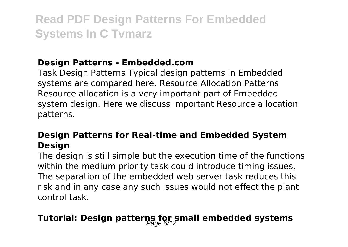### **Design Patterns - Embedded.com**

Task Design Patterns Typical design patterns in Embedded systems are compared here. Resource Allocation Patterns Resource allocation is a very important part of Embedded system design. Here we discuss important Resource allocation patterns.

# **Design Patterns for Real-time and Embedded System Design**

The design is still simple but the execution time of the functions within the medium priority task could introduce timing issues. The separation of the embedded web server task reduces this risk and in any case any such issues would not effect the plant control task.

# **Tutorial: Design patterns for small embedded systems** Page 6/12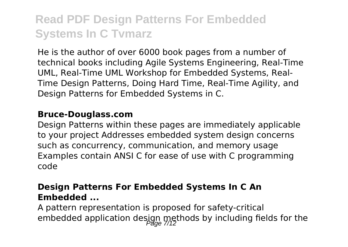He is the author of over 6000 book pages from a number of technical books including Agile Systems Engineering, Real-Time UML, Real-Time UML Workshop for Embedded Systems, Real-Time Design Patterns, Doing Hard Time, Real-Time Agility, and Design Patterns for Embedded Systems in C.

#### **Bruce-Douglass.com**

Design Patterns within these pages are immediately applicable to your project Addresses embedded system design concerns such as concurrency, communication, and memory usage Examples contain ANSI C for ease of use with C programming code

### **Design Patterns For Embedded Systems In C An Embedded ...**

A pattern representation is proposed for safety-critical embedded application design methods by including fields for the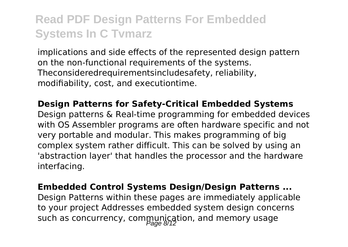implications and side effects of the represented design pattern on the non-functional requirements of the systems. Theconsideredrequirementsincludesafety, reliability, modifiability, cost, and executiontime.

### **Design Patterns for Safety-Critical Embedded Systems**

Design patterns & Real-time programming for embedded devices with OS Assembler programs are often hardware specific and not very portable and modular. This makes programming of big complex system rather difficult. This can be solved by using an 'abstraction layer' that handles the processor and the hardware interfacing.

#### **Embedded Control Systems Design/Design Patterns ...**

Design Patterns within these pages are immediately applicable to your project Addresses embedded system design concerns such as concurrency, communication, and memory usage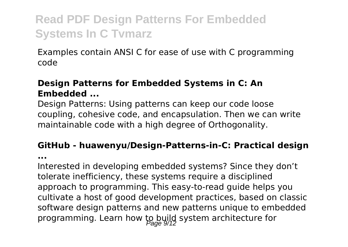Examples contain ANSI C for ease of use with C programming code

### **Design Patterns for Embedded Systems in C: An Embedded ...**

Design Patterns: Using patterns can keep our code loose coupling, cohesive code, and encapsulation. Then we can write maintainable code with a high degree of Orthogonality.

#### **GitHub - huawenyu/Design-Patterns-in-C: Practical design ...**

Interested in developing embedded systems? Since they don't tolerate inefficiency, these systems require a disciplined approach to programming. This easy-to-read guide helps you cultivate a host of good development practices, based on classic software design patterns and new patterns unique to embedded programming. Learn how  $t_{\alpha}$  build system architecture for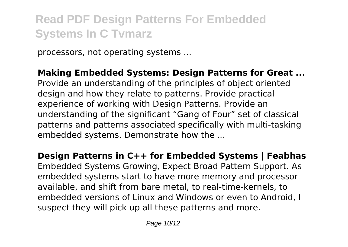processors, not operating systems ...

# **Making Embedded Systems: Design Patterns for Great ...**

Provide an understanding of the principles of object oriented design and how they relate to patterns. Provide practical experience of working with Design Patterns. Provide an understanding of the significant "Gang of Four" set of classical patterns and patterns associated specifically with multi-tasking embedded systems. Demonstrate how the ...

**Design Patterns in C++ for Embedded Systems | Feabhas** Embedded Systems Growing, Expect Broad Pattern Support. As embedded systems start to have more memory and processor available, and shift from bare metal, to real-time-kernels, to embedded versions of Linux and Windows or even to Android, I suspect they will pick up all these patterns and more.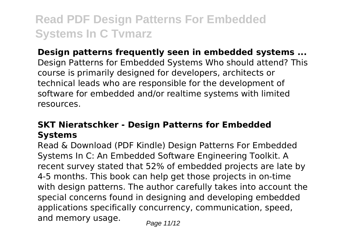### **Design patterns frequently seen in embedded systems ...**

Design Patterns for Embedded Systems Who should attend? This course is primarily designed for developers, architects or technical leads who are responsible for the development of software for embedded and/or realtime systems with limited resources.

# **SKT Nieratschker - Design Patterns for Embedded Systems**

Read & Download (PDF Kindle) Design Patterns For Embedded Systems In C: An Embedded Software Engineering Toolkit. A recent survey stated that 52% of embedded projects are late by 4-5 months. This book can help get those projects in on-time with design patterns. The author carefully takes into account the special concerns found in designing and developing embedded applications specifically concurrency, communication, speed, and memory usage.  $P_{\text{face 11/12}}$